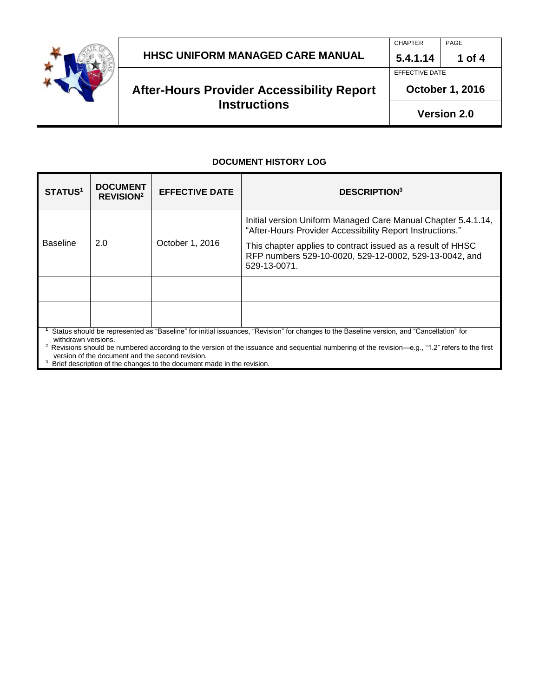

# **After-Hours Provider Accessibility Report Instructions**

EFFECTIVE DATE

CHAPTER | PAGE

**October 1, 2016**

#### **DOCUMENT HISTORY LOG**

| <b>STATUS1</b>                                                                                                                                                                                                 | <b>DOCUMENT</b><br><b>REVISION<sup>2</sup></b> | <b>EFFECTIVE DATE</b> | <b>DESCRIPTION3</b>                                                                                                                   |
|----------------------------------------------------------------------------------------------------------------------------------------------------------------------------------------------------------------|------------------------------------------------|-----------------------|---------------------------------------------------------------------------------------------------------------------------------------|
| <b>Baseline</b>                                                                                                                                                                                                | 2.0                                            | October 1, 2016       | Initial version Uniform Managed Care Manual Chapter 5.4.1.14,<br>"After-Hours Provider Accessibility Report Instructions."            |
|                                                                                                                                                                                                                |                                                |                       | This chapter applies to contract issued as a result of HHSC<br>RFP numbers 529-10-0020, 529-12-0002, 529-13-0042, and<br>529-13-0071. |
|                                                                                                                                                                                                                |                                                |                       |                                                                                                                                       |
|                                                                                                                                                                                                                |                                                |                       |                                                                                                                                       |
| Status should be represented as "Baseline" for initial issuances, "Revision" for changes to the Baseline version, and "Cancellation" for<br>withdrawn versions.                                                |                                                |                       |                                                                                                                                       |
| <sup>2</sup> Revisions should be numbered according to the version of the issuance and sequential numbering of the revision—e.g., "1.2" refers to the first<br>version of the decument and the second revision |                                                |                       |                                                                                                                                       |

version of the document and the second revision.<br><sup>3</sup> Brief description of the changes to the document made in the revision.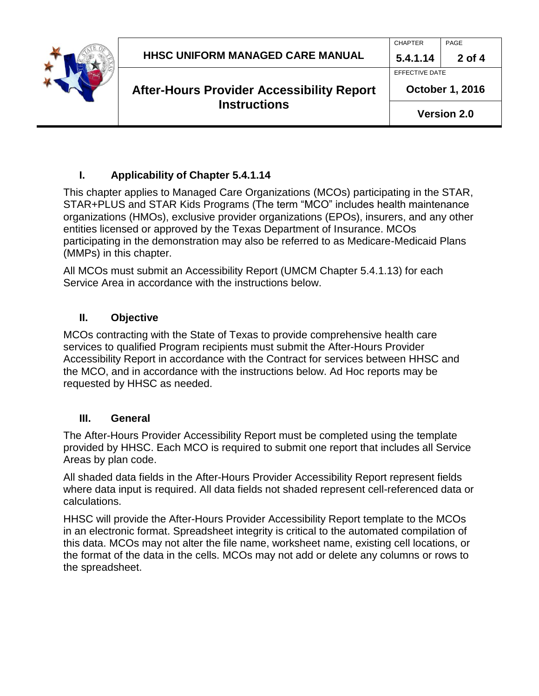### **I. Applicability of Chapter 5.4.1.14**

This chapter applies to Managed Care Organizations (MCOs) participating in the STAR, STAR+PLUS and STAR Kids Programs (The term "MCO" includes health maintenance organizations (HMOs), exclusive provider organizations (EPOs), insurers, and any other entities licensed or approved by the Texas Department of Insurance. MCOs participating in the demonstration may also be referred to as Medicare-Medicaid Plans (MMPs) in this chapter.

All MCOs must submit an Accessibility Report (UMCM Chapter 5.4.1.13) for each Service Area in accordance with the instructions below.

### **II. Objective**

MCOs contracting with the State of Texas to provide comprehensive health care services to qualified Program recipients must submit the After-Hours Provider Accessibility Report in accordance with the Contract for services between HHSC and the MCO, and in accordance with the instructions below. Ad Hoc reports may be requested by HHSC as needed.

#### **III. General**

The After-Hours Provider Accessibility Report must be completed using the template provided by HHSC. Each MCO is required to submit one report that includes all Service Areas by plan code.

All shaded data fields in the After-Hours Provider Accessibility Report represent fields where data input is required. All data fields not shaded represent cell-referenced data or calculations.

HHSC will provide the After-Hours Provider Accessibility Report template to the MCOs in an electronic format. Spreadsheet integrity is critical to the automated compilation of this data. MCOs may not alter the file name, worksheet name, existing cell locations, or the format of the data in the cells. MCOs may not add or delete any columns or rows to the spreadsheet.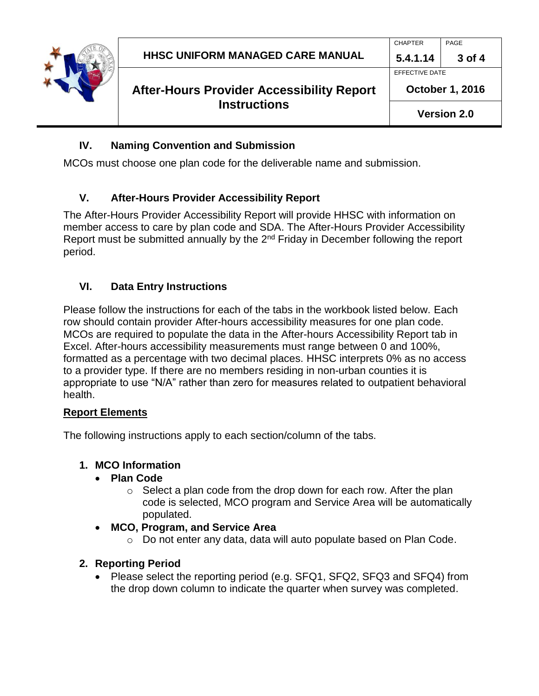

# **After-Hours Provider Accessibility Report Instructions**

CHAPTER | PAGE

EFFECTIVE DATE

# **IV. Naming Convention and Submission**

MCOs must choose one plan code for the deliverable name and submission.

# **V. After-Hours Provider Accessibility Report**

The After-Hours Provider Accessibility Report will provide HHSC with information on member access to care by plan code and SDA. The After-Hours Provider Accessibility Report must be submitted annually by the  $2<sup>nd</sup>$  Friday in December following the report period.

# **VI. Data Entry Instructions**

Please follow the instructions for each of the tabs in the workbook listed below. Each row should contain provider After-hours accessibility measures for one plan code. MCOs are required to populate the data in the After-hours Accessibility Report tab in Excel. After-hours accessibility measurements must range between 0 and 100%, formatted as a percentage with two decimal places. HHSC interprets 0% as no access to a provider type. If there are no members residing in non-urban counties it is appropriate to use "N/A" rather than zero for measures related to outpatient behavioral health.

# **Report Elements**

The following instructions apply to each section/column of the tabs.

# **1. MCO Information**

#### **Plan Code**

- $\circ$  Select a plan code from the drop down for each row. After the plan code is selected, MCO program and Service Area will be automatically populated.
- **MCO, Program, and Service Area**
	- $\circ$  Do not enter any data, data will auto populate based on Plan Code.

# **2. Reporting Period**

• Please select the reporting period (e.g. SFQ1, SFQ2, SFQ3 and SFQ4) from the drop down column to indicate the quarter when survey was completed.